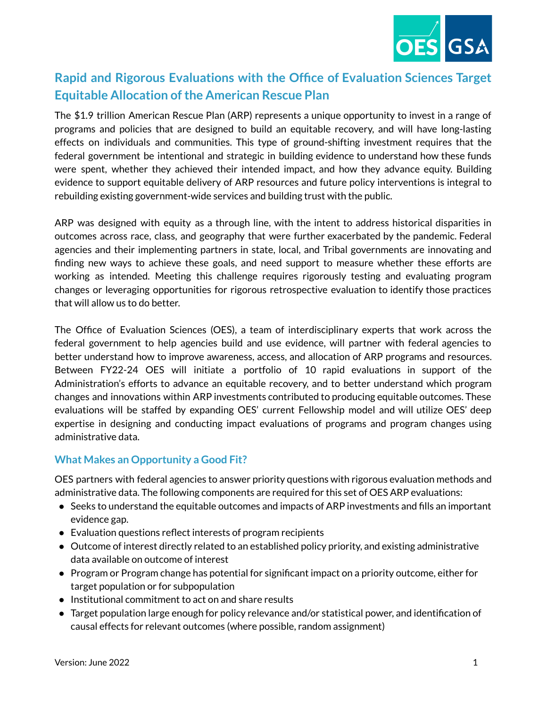

# **Rapid and Rigorous Evaluations with the Office of Evaluation Sciences Target Equitable Allocation of the American Rescue Plan**

The \$1.9 trillion American Rescue Plan (ARP) represents a unique opportunity to invest in a range of programs and policies that are designed to build an equitable recovery, and will have long-lasting effects on individuals and communities. This type of ground-shifting investment requires that the federal government be intentional and strategic in building evidence to understand how these funds were spent, whether they achieved their intended impact, and how they advance equity. Building evidence to support equitable delivery of ARP resources and future policy interventions is integral to rebuilding existing government-wide services and building trust with the public.

ARP was designed with equity as a through line, with the intent to address historical disparities in outcomes across race, class, and geography that were further exacerbated by the pandemic. Federal agencies and their implementing partners in state, local, and Tribal governments are innovating and finding new ways to achieve these goals, and need support to measure whether these efforts are working as intended. Meeting this challenge requires rigorously testing and evaluating program changes or leveraging opportunities for rigorous retrospective evaluation to identify those practices that will allow us to do better.

The Office of Evaluation Sciences (OES), a team of interdisciplinary experts that work across the federal government to help agencies build and use evidence, will partner with federal agencies to better understand how to improve awareness, access, and allocation of ARP programs and resources. Between FY22-24 OES will initiate a portfolio of 10 rapid evaluations in support of the Administration's efforts to advance an equitable recovery, and to better understand which program changes and innovations within ARP investments contributed to producing equitable outcomes. These evaluations will be staffed by expanding OES' current Fellowship model and will utilize OES' deep expertise in designing and conducting impact evaluations of programs and program changes using administrative data.

## **What Makes an Opportunity a Good Fit?**

OES partners with federal agencies to answer priority questions with rigorous evaluation methods and administrative data. The following components are required for this set of OES ARP evaluations:

- Seeks to understand the equitable outcomes and impacts of ARP investments and fills an important evidence gap.
- Evaluation questions reflect interests of program recipients
- Outcome of interest directly related to an established policy priority, and existing administrative data available on outcome of interest
- Program or Program change has potential for significant impact on a priority outcome, either for target population or for subpopulation
- Institutional commitment to act on and share results
- Target population large enough for policy relevance and/or statistical power, and identification of causal effects for relevant outcomes (where possible, random assignment)